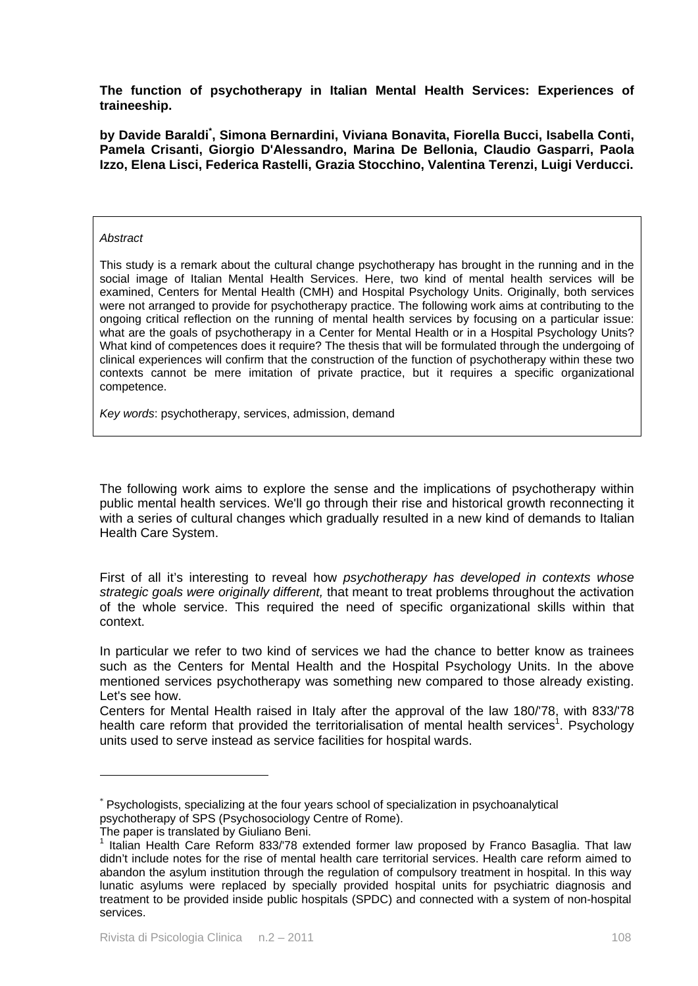**The function of psychotherapy in Italian Mental Health Services: Experiences of traineeship.** 

**by Davide Baraldi\* , Simona Bernardini, Viviana Bonavita, Fiorella Bucci, Isabella Conti, Pamela Crisanti, Giorgio D'Alessandro, Marina De Bellonia, Claudio Gasparri, Paola Izzo, Elena Lisci, Federica Rastelli, Grazia Stocchino, Valentina Terenzi, Luigi Verducci.** 

#### *Abstract*

This study is a remark about the cultural change psychotherapy has brought in the running and in the social image of Italian Mental Health Services. Here, two kind of mental health services will be examined, Centers for Mental Health (CMH) and Hospital Psychology Units. Originally, both services were not arranged to provide for psychotherapy practice. The following work aims at contributing to the ongoing critical reflection on the running of mental health services by focusing on a particular issue: what are the goals of psychotherapy in a Center for Mental Health or in a Hospital Psychology Units? What kind of competences does it require? The thesis that will be formulated through the undergoing of clinical experiences will confirm that the construction of the function of psychotherapy within these two contexts cannot be mere imitation of private practice, but it requires a specific organizational competence.

*Key words*: psychotherapy, services, admission, demand

The following work aims to explore the sense and the implications of psychotherapy within public mental health services. We'll go through their rise and historical growth reconnecting it with a series of cultural changes which gradually resulted in a new kind of demands to Italian Health Care System.

First of all it's interesting to reveal how *psychotherapy has developed in contexts whose strategic goals were originally different,* that meant to treat problems throughout the activation of the whole service. This required the need of specific organizational skills within that context.

In particular we refer to two kind of services we had the chance to better know as trainees such as the Centers for Mental Health and the Hospital Psychology Units. In the above mentioned services psychotherapy was something new compared to those already existing. Let's see how.

Centers for Mental Health raised in Italy after the approval of the law 180/'78, with 833/'78 health care reform that provided the territorialisation of mental health services<sup>1</sup>. Psychology units used to serve instead as service facilities for hospital wards.

<u>.</u>

<sup>\*</sup> Psychologists, specializing at the four years school of specialization in psychoanalytical psychotherapy of SPS (Psychosociology Centre of Rome).

The paper is translated by Giuliano Beni.

<sup>&</sup>lt;sup>1</sup> Italian Health Care Reform 833/78 extended former law proposed by Franco Basaglia. That law didn't include notes for the rise of mental health care territorial services. Health care reform aimed to abandon the asylum institution through the regulation of compulsory treatment in hospital. In this way lunatic asylums were replaced by specially provided hospital units for psychiatric diagnosis and treatment to be provided inside public hospitals (SPDC) and connected with a system of non-hospital services.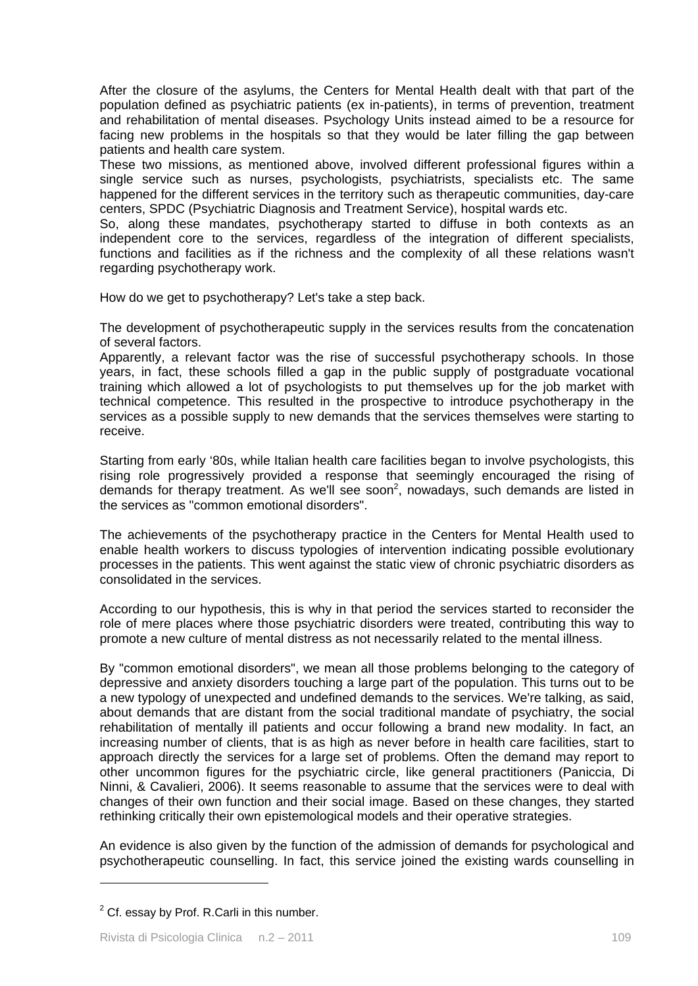After the closure of the asylums, the Centers for Mental Health dealt with that part of the population defined as psychiatric patients (ex in-patients), in terms of prevention, treatment and rehabilitation of mental diseases. Psychology Units instead aimed to be a resource for facing new problems in the hospitals so that they would be later filling the gap between patients and health care system.

These two missions, as mentioned above, involved different professional figures within a single service such as nurses, psychologists, psychiatrists, specialists etc. The same happened for the different services in the territory such as therapeutic communities, day-care centers, SPDC (Psychiatric Diagnosis and Treatment Service), hospital wards etc.

So, along these mandates, psychotherapy started to diffuse in both contexts as an independent core to the services, regardless of the integration of different specialists, functions and facilities as if the richness and the complexity of all these relations wasn't regarding psychotherapy work.

How do we get to psychotherapy? Let's take a step back.

The development of psychotherapeutic supply in the services results from the concatenation of several factors.

Apparently, a relevant factor was the rise of successful psychotherapy schools. In those years, in fact, these schools filled a gap in the public supply of postgraduate vocational training which allowed a lot of psychologists to put themselves up for the job market with technical competence. This resulted in the prospective to introduce psychotherapy in the services as a possible supply to new demands that the services themselves were starting to receive.

Starting from early '80s, while Italian health care facilities began to involve psychologists, this rising role progressively provided a response that seemingly encouraged the rising of demands for therapy treatment. As we'll see soon<sup>2</sup>, nowadays, such demands are listed in the services as "common emotional disorders".

The achievements of the psychotherapy practice in the Centers for Mental Health used to enable health workers to discuss typologies of intervention indicating possible evolutionary processes in the patients. This went against the static view of chronic psychiatric disorders as consolidated in the services.

According to our hypothesis, this is why in that period the services started to reconsider the role of mere places where those psychiatric disorders were treated, contributing this way to promote a new culture of mental distress as not necessarily related to the mental illness.

By "common emotional disorders", we mean all those problems belonging to the category of depressive and anxiety disorders touching a large part of the population. This turns out to be a new typology of unexpected and undefined demands to the services. We're talking, as said, about demands that are distant from the social traditional mandate of psychiatry, the social rehabilitation of mentally ill patients and occur following a brand new modality. In fact, an increasing number of clients, that is as high as never before in health care facilities, start to approach directly the services for a large set of problems. Often the demand may report to other uncommon figures for the psychiatric circle, like general practitioners (Paniccia, Di Ninni, & Cavalieri, 2006). It seems reasonable to assume that the services were to deal with changes of their own function and their social image. Based on these changes, they started rethinking critically their own epistemological models and their operative strategies.

An evidence is also given by the function of the admission of demands for psychological and psychotherapeutic counselling. In fact, this service joined the existing wards counselling in

1

 $2$  Cf. essay by Prof. R.Carli in this number.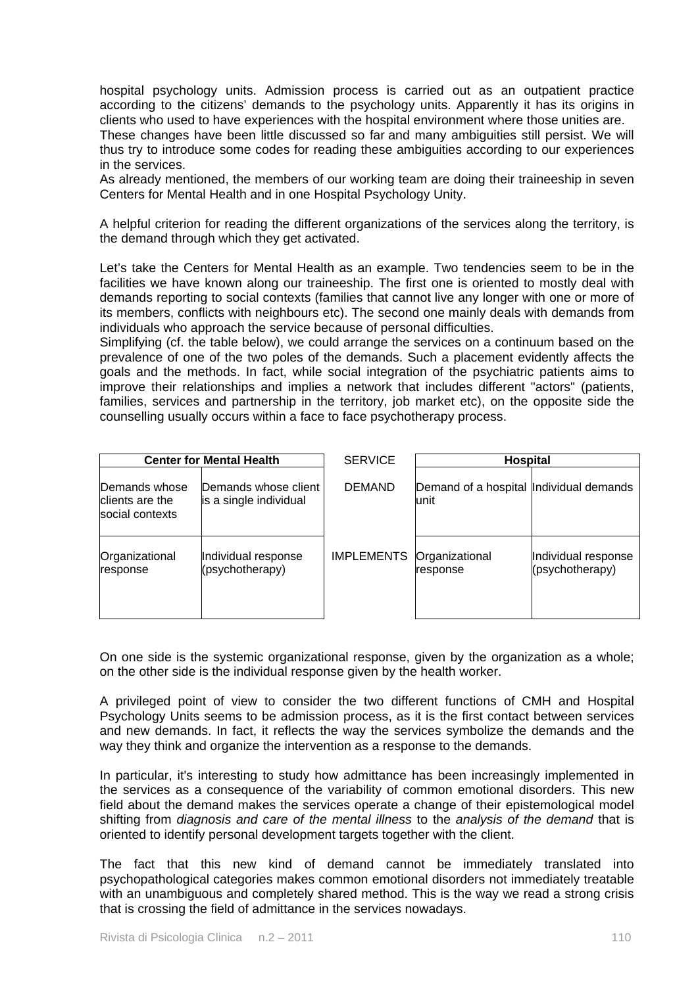hospital psychology units. Admission process is carried out as an outpatient practice according to the citizens' demands to the psychology units. Apparently it has its origins in clients who used to have experiences with the hospital environment where those unities are.

These changes have been little discussed so far and many ambiguities still persist. We will thus try to introduce some codes for reading these ambiguities according to our experiences in the services.

As already mentioned, the members of our working team are doing their traineeship in seven Centers for Mental Health and in one Hospital Psychology Unity.

A helpful criterion for reading the different organizations of the services along the territory, is the demand through which they get activated.

Let's take the Centers for Mental Health as an example. Two tendencies seem to be in the facilities we have known along our traineeship. The first one is oriented to mostly deal with demands reporting to social contexts (families that cannot live any longer with one or more of its members, conflicts with neighbours etc). The second one mainly deals with demands from individuals who approach the service because of personal difficulties.

Simplifying (cf. the table below), we could arrange the services on a continuum based on the prevalence of one of the two poles of the demands. Such a placement evidently affects the goals and the methods. In fact, while social integration of the psychiatric patients aims to improve their relationships and implies a network that includes different "actors" (patients, families, services and partnership in the territory, job market etc), on the opposite side the counselling usually occurs within a face to face psychotherapy process.

| <b>Center for Mental Health</b>                     |                                                | <b>SERVICE</b>    | <b>Hospital</b>                                  |                                        |
|-----------------------------------------------------|------------------------------------------------|-------------------|--------------------------------------------------|----------------------------------------|
| Demands whose<br>clients are the<br>social contexts | Demands whose client<br>is a single individual | <b>DEMAND</b>     | Demand of a hospital Individual demands<br>lunit |                                        |
| Organizational<br>response                          | Individual response<br>(psychotherapy)         | <b>IMPLEMENTS</b> | Organizational<br>response                       | Individual response<br>(psychotherapy) |

On one side is the systemic organizational response, given by the organization as a whole; on the other side is the individual response given by the health worker.

A privileged point of view to consider the two different functions of CMH and Hospital Psychology Units seems to be admission process, as it is the first contact between services and new demands. In fact, it reflects the way the services symbolize the demands and the way they think and organize the intervention as a response to the demands.

In particular, it's interesting to study how admittance has been increasingly implemented in the services as a consequence of the variability of common emotional disorders. This new field about the demand makes the services operate a change of their epistemological model shifting from *diagnosis and care of the mental illness* to the *analysis of the demand* that is oriented to identify personal development targets together with the client.

The fact that this new kind of demand cannot be immediately translated into psychopathological categories makes common emotional disorders not immediately treatable with an unambiguous and completely shared method. This is the way we read a strong crisis that is crossing the field of admittance in the services nowadays.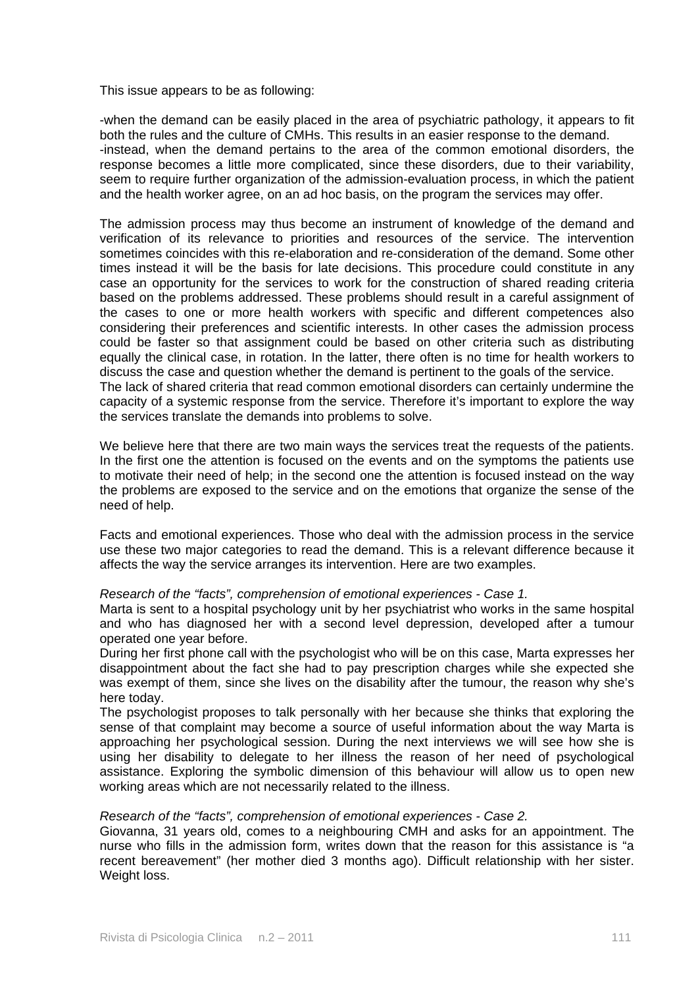This issue appears to be as following:

-when the demand can be easily placed in the area of psychiatric pathology, it appears to fit both the rules and the culture of CMHs. This results in an easier response to the demand. -instead, when the demand pertains to the area of the common emotional disorders, the response becomes a little more complicated, since these disorders, due to their variability, seem to require further organization of the admission-evaluation process, in which the patient and the health worker agree, on an ad hoc basis, on the program the services may offer.

The admission process may thus become an instrument of knowledge of the demand and verification of its relevance to priorities and resources of the service. The intervention sometimes coincides with this re-elaboration and re-consideration of the demand. Some other times instead it will be the basis for late decisions. This procedure could constitute in any case an opportunity for the services to work for the construction of shared reading criteria based on the problems addressed. These problems should result in a careful assignment of the cases to one or more health workers with specific and different competences also considering their preferences and scientific interests. In other cases the admission process could be faster so that assignment could be based on other criteria such as distributing equally the clinical case, in rotation. In the latter, there often is no time for health workers to discuss the case and question whether the demand is pertinent to the goals of the service. The lack of shared criteria that read common emotional disorders can certainly undermine the capacity of a systemic response from the service. Therefore it's important to explore the way

the services translate the demands into problems to solve.

We believe here that there are two main ways the services treat the requests of the patients. In the first one the attention is focused on the events and on the symptoms the patients use to motivate their need of help; in the second one the attention is focused instead on the way the problems are exposed to the service and on the emotions that organize the sense of the need of help.

Facts and emotional experiences. Those who deal with the admission process in the service use these two major categories to read the demand. This is a relevant difference because it affects the way the service arranges its intervention. Here are two examples.

#### *Research of the "facts", comprehension of emotional experiences - Case 1.*

Marta is sent to a hospital psychology unit by her psychiatrist who works in the same hospital and who has diagnosed her with a second level depression, developed after a tumour operated one year before.

During her first phone call with the psychologist who will be on this case, Marta expresses her disappointment about the fact she had to pay prescription charges while she expected she was exempt of them, since she lives on the disability after the tumour, the reason why she's here today.

The psychologist proposes to talk personally with her because she thinks that exploring the sense of that complaint may become a source of useful information about the way Marta is approaching her psychological session. During the next interviews we will see how she is using her disability to delegate to her illness the reason of her need of psychological assistance. Exploring the symbolic dimension of this behaviour will allow us to open new working areas which are not necessarily related to the illness.

# *Research of the "facts", comprehension of emotional experiences - Case 2.*

Giovanna, 31 years old, comes to a neighbouring CMH and asks for an appointment. The nurse who fills in the admission form, writes down that the reason for this assistance is "a recent bereavement" (her mother died 3 months ago). Difficult relationship with her sister. Weight loss.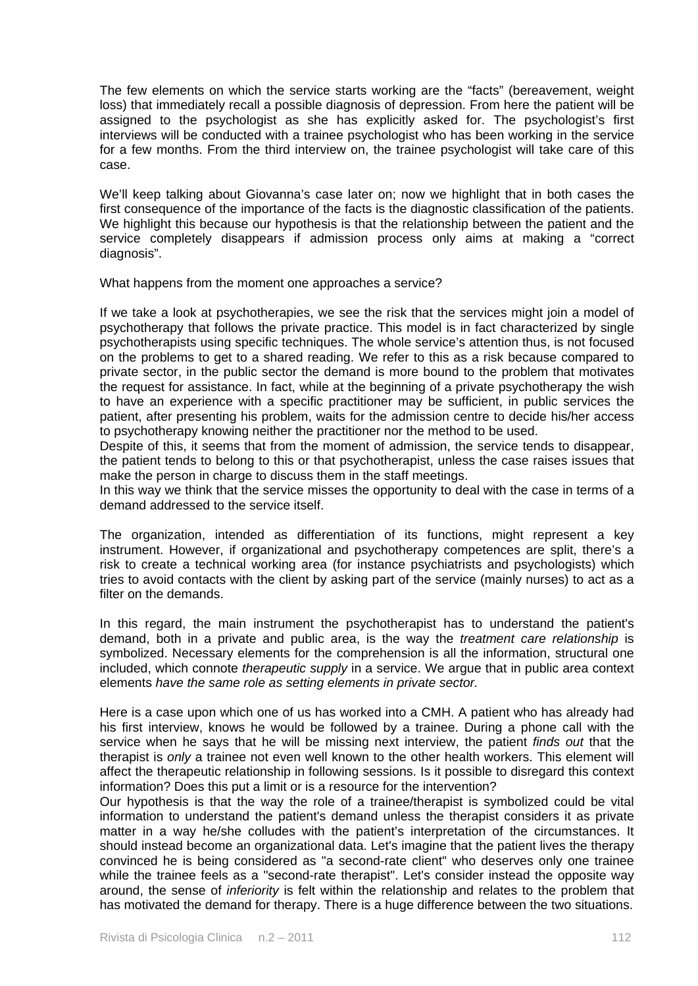The few elements on which the service starts working are the "facts" (bereavement, weight loss) that immediately recall a possible diagnosis of depression. From here the patient will be assigned to the psychologist as she has explicitly asked for. The psychologist's first interviews will be conducted with a trainee psychologist who has been working in the service for a few months. From the third interview on, the trainee psychologist will take care of this case.

We'll keep talking about Giovanna's case later on; now we highlight that in both cases the first consequence of the importance of the facts is the diagnostic classification of the patients. We highlight this because our hypothesis is that the relationship between the patient and the service completely disappears if admission process only aims at making a "correct diagnosis".

What happens from the moment one approaches a service?

If we take a look at psychotherapies, we see the risk that the services might join a model of psychotherapy that follows the private practice. This model is in fact characterized by single psychotherapists using specific techniques. The whole service's attention thus, is not focused on the problems to get to a shared reading. We refer to this as a risk because compared to private sector, in the public sector the demand is more bound to the problem that motivates the request for assistance. In fact, while at the beginning of a private psychotherapy the wish to have an experience with a specific practitioner may be sufficient, in public services the patient, after presenting his problem, waits for the admission centre to decide his/her access to psychotherapy knowing neither the practitioner nor the method to be used.

Despite of this, it seems that from the moment of admission, the service tends to disappear, the patient tends to belong to this or that psychotherapist, unless the case raises issues that make the person in charge to discuss them in the staff meetings.

In this way we think that the service misses the opportunity to deal with the case in terms of a demand addressed to the service itself.

The organization, intended as differentiation of its functions, might represent a key instrument. However, if organizational and psychotherapy competences are split, there's a risk to create a technical working area (for instance psychiatrists and psychologists) which tries to avoid contacts with the client by asking part of the service (mainly nurses) to act as a filter on the demands.

In this regard, the main instrument the psychotherapist has to understand the patient's demand, both in a private and public area, is the way the *treatment care relationship* is symbolized. Necessary elements for the comprehension is all the information, structural one included, which connote *therapeutic supply* in a service. We argue that in public area context elements *have the same role as setting elements in private sector.*

Here is a case upon which one of us has worked into a CMH. A patient who has already had his first interview, knows he would be followed by a trainee. During a phone call with the service when he says that he will be missing next interview, the patient *finds out* that the therapist is *only* a trainee not even well known to the other health workers. This element will affect the therapeutic relationship in following sessions. Is it possible to disregard this context information? Does this put a limit or is a resource for the intervention?

Our hypothesis is that the way the role of a trainee/therapist is symbolized could be vital information to understand the patient's demand unless the therapist considers it as private matter in a way he/she colludes with the patient's interpretation of the circumstances. It should instead become an organizational data. Let's imagine that the patient lives the therapy convinced he is being considered as "a second-rate client" who deserves only one trainee while the trainee feels as a "second-rate therapist". Let's consider instead the opposite way around, the sense of *inferiority* is felt within the relationship and relates to the problem that has motivated the demand for therapy. There is a huge difference between the two situations.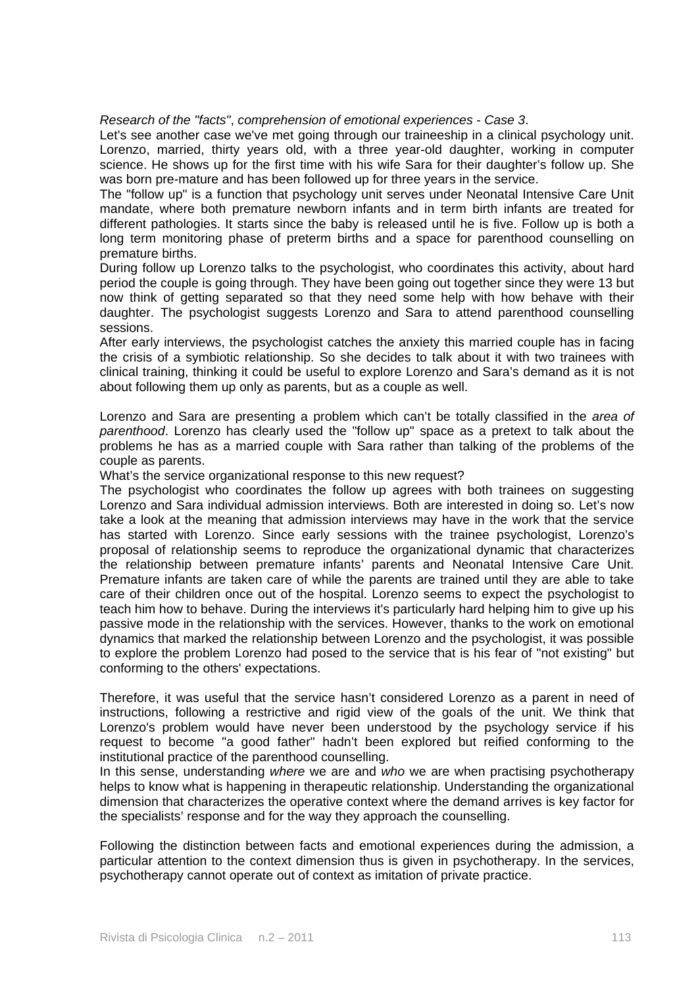# *Research of the "facts"*, *comprehension of emotional experiences* - *Case 3*.

Let's see another case we've met going through our traineeship in a clinical psychology unit. Lorenzo, married, thirty years old, with a three year-old daughter, working in computer science. He shows up for the first time with his wife Sara for their daughter's follow up. She was born pre-mature and has been followed up for three years in the service.

The "follow up" is a function that psychology unit serves under Neonatal Intensive Care Unit mandate, where both premature newborn infants and in term birth infants are treated for different pathologies. It starts since the baby is released until he is five. Follow up is both a long term monitoring phase of preterm births and a space for parenthood counselling on premature births.

During follow up Lorenzo talks to the psychologist, who coordinates this activity, about hard period the couple is going through. They have been going out together since they were 13 but now think of getting separated so that they need some help with how behave with their daughter. The psychologist suggests Lorenzo and Sara to attend parenthood counselling sessions.

After early interviews, the psychologist catches the anxiety this married couple has in facing the crisis of a symbiotic relationship. So she decides to talk about it with two trainees with clinical training, thinking it could be useful to explore Lorenzo and Sara's demand as it is not about following them up only as parents, but as a couple as well.

Lorenzo and Sara are presenting a problem which can't be totally classified in the *area of parenthood*. Lorenzo has clearly used the "follow up" space as a pretext to talk about the problems he has as a married couple with Sara rather than talking of the problems of the couple as parents.

What's the service organizational response to this new request?

The psychologist who coordinates the follow up agrees with both trainees on suggesting Lorenzo and Sara individual admission interviews. Both are interested in doing so. Let's now take a look at the meaning that admission interviews may have in the work that the service has started with Lorenzo. Since early sessions with the trainee psychologist, Lorenzo's proposal of relationship seems to reproduce the organizational dynamic that characterizes the relationship between premature infants' parents and Neonatal Intensive Care Unit. Premature infants are taken care of while the parents are trained until they are able to take care of their children once out of the hospital. Lorenzo seems to expect the psychologist to teach him how to behave. During the interviews it's particularly hard helping him to give up his passive mode in the relationship with the services. However, thanks to the work on emotional dynamics that marked the relationship between Lorenzo and the psychologist, it was possible to explore the problem Lorenzo had posed to the service that is his fear of "not existing" but conforming to the others' expectations.

Therefore, it was useful that the service hasn't considered Lorenzo as a parent in need of instructions, following a restrictive and rigid view of the goals of the unit. We think that Lorenzo's problem would have never been understood by the psychology service if his request to become "a good father" hadn't been explored but reified conforming to the institutional practice of the parenthood counselling.

In this sense, understanding *where* we are and *who* we are when practising psychotherapy helps to know what is happening in therapeutic relationship. Understanding the organizational dimension that characterizes the operative context where the demand arrives is key factor for the specialists' response and for the way they approach the counselling.

Following the distinction between facts and emotional experiences during the admission, a particular attention to the context dimension thus is given in psychotherapy. In the services, psychotherapy cannot operate out of context as imitation of private practice.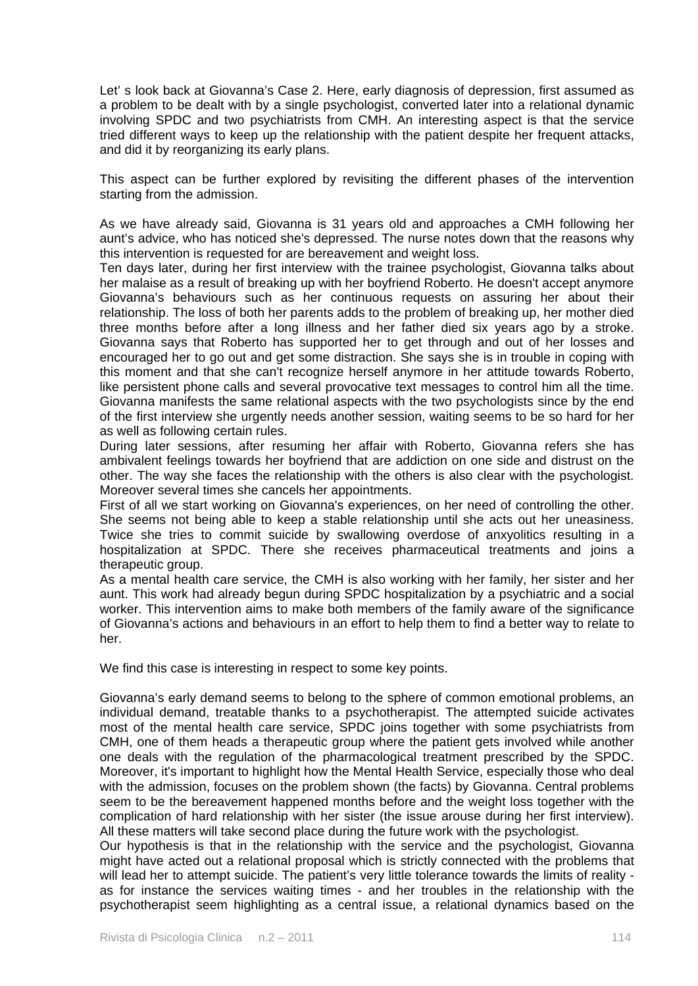Let' s look back at Giovanna's Case 2. Here, early diagnosis of depression, first assumed as a problem to be dealt with by a single psychologist, converted later into a relational dynamic involving SPDC and two psychiatrists from CMH. An interesting aspect is that the service tried different ways to keep up the relationship with the patient despite her frequent attacks, and did it by reorganizing its early plans.

This aspect can be further explored by revisiting the different phases of the intervention starting from the admission.

As we have already said, Giovanna is 31 years old and approaches a CMH following her aunt's advice, who has noticed she's depressed. The nurse notes down that the reasons why this intervention is requested for are bereavement and weight loss.

Ten days later, during her first interview with the trainee psychologist, Giovanna talks about her malaise as a result of breaking up with her boyfriend Roberto. He doesn't accept anymore Giovanna's behaviours such as her continuous requests on assuring her about their relationship. The loss of both her parents adds to the problem of breaking up, her mother died three months before after a long illness and her father died six years ago by a stroke. Giovanna says that Roberto has supported her to get through and out of her losses and encouraged her to go out and get some distraction. She says she is in trouble in coping with this moment and that she can't recognize herself anymore in her attitude towards Roberto, like persistent phone calls and several provocative text messages to control him all the time. Giovanna manifests the same relational aspects with the two psychologists since by the end of the first interview she urgently needs another session, waiting seems to be so hard for her as well as following certain rules.

During later sessions, after resuming her affair with Roberto, Giovanna refers she has ambivalent feelings towards her boyfriend that are addiction on one side and distrust on the other. The way she faces the relationship with the others is also clear with the psychologist. Moreover several times she cancels her appointments.

First of all we start working on Giovanna's experiences, on her need of controlling the other. She seems not being able to keep a stable relationship until she acts out her uneasiness. Twice she tries to commit suicide by swallowing overdose of anxyolitics resulting in a hospitalization at SPDC. There she receives pharmaceutical treatments and joins a therapeutic group.

As a mental health care service, the CMH is also working with her family, her sister and her aunt. This work had already begun during SPDC hospitalization by a psychiatric and a social worker. This intervention aims to make both members of the family aware of the significance of Giovanna's actions and behaviours in an effort to help them to find a better way to relate to her.

We find this case is interesting in respect to some key points.

Giovanna's early demand seems to belong to the sphere of common emotional problems, an individual demand, treatable thanks to a psychotherapist. The attempted suicide activates most of the mental health care service, SPDC joins together with some psychiatrists from CMH, one of them heads a therapeutic group where the patient gets involved while another one deals with the regulation of the pharmacological treatment prescribed by the SPDC. Moreover, it's important to highlight how the Mental Health Service, especially those who deal with the admission, focuses on the problem shown (the facts) by Giovanna. Central problems seem to be the bereavement happened months before and the weight loss together with the complication of hard relationship with her sister (the issue arouse during her first interview). All these matters will take second place during the future work with the psychologist.

Our hypothesis is that in the relationship with the service and the psychologist, Giovanna might have acted out a relational proposal which is strictly connected with the problems that will lead her to attempt suicide. The patient's very little tolerance towards the limits of reality as for instance the services waiting times - and her troubles in the relationship with the psychotherapist seem highlighting as a central issue, a relational dynamics based on the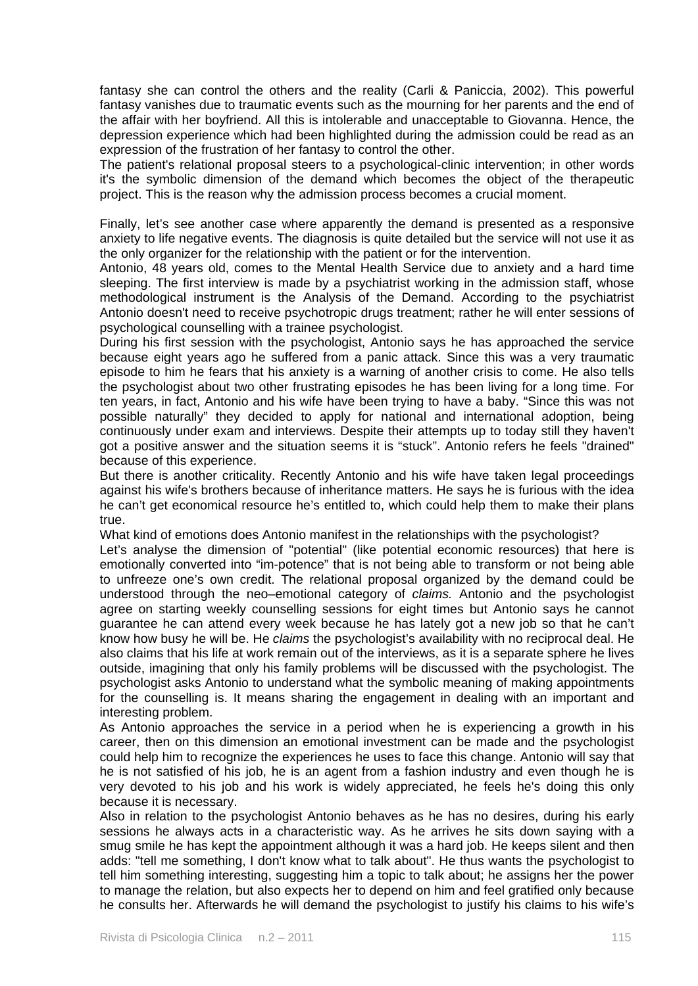fantasy she can control the others and the reality (Carli & Paniccia, 2002). This powerful fantasy vanishes due to traumatic events such as the mourning for her parents and the end of the affair with her boyfriend. All this is intolerable and unacceptable to Giovanna. Hence, the depression experience which had been highlighted during the admission could be read as an expression of the frustration of her fantasy to control the other.

The patient's relational proposal steers to a psychological-clinic intervention; in other words it's the symbolic dimension of the demand which becomes the object of the therapeutic project. This is the reason why the admission process becomes a crucial moment.

Finally, let's see another case where apparently the demand is presented as a responsive anxiety to life negative events. The diagnosis is quite detailed but the service will not use it as the only organizer for the relationship with the patient or for the intervention.

Antonio, 48 years old, comes to the Mental Health Service due to anxiety and a hard time sleeping. The first interview is made by a psychiatrist working in the admission staff, whose methodological instrument is the Analysis of the Demand. According to the psychiatrist Antonio doesn't need to receive psychotropic drugs treatment; rather he will enter sessions of psychological counselling with a trainee psychologist.

During his first session with the psychologist, Antonio says he has approached the service because eight years ago he suffered from a panic attack. Since this was a very traumatic episode to him he fears that his anxiety is a warning of another crisis to come. He also tells the psychologist about two other frustrating episodes he has been living for a long time. For ten years, in fact, Antonio and his wife have been trying to have a baby. "Since this was not possible naturally" they decided to apply for national and international adoption, being continuously under exam and interviews. Despite their attempts up to today still they haven't got a positive answer and the situation seems it is "stuck". Antonio refers he feels "drained" because of this experience.

But there is another criticality. Recently Antonio and his wife have taken legal proceedings against his wife's brothers because of inheritance matters. He says he is furious with the idea he can't get economical resource he's entitled to, which could help them to make their plans true.

What kind of emotions does Antonio manifest in the relationships with the psychologist?

Let's analyse the dimension of "potential" (like potential economic resources) that here is emotionally converted into "im-potence" that is not being able to transform or not being able to unfreeze one's own credit. The relational proposal organized by the demand could be understood through the neo–emotional category of *claims.* Antonio and the psychologist agree on starting weekly counselling sessions for eight times but Antonio says he cannot guarantee he can attend every week because he has lately got a new job so that he can't know how busy he will be. He *claims* the psychologist's availability with no reciprocal deal. He also claims that his life at work remain out of the interviews, as it is a separate sphere he lives outside, imagining that only his family problems will be discussed with the psychologist. The psychologist asks Antonio to understand what the symbolic meaning of making appointments for the counselling is. It means sharing the engagement in dealing with an important and interesting problem.

As Antonio approaches the service in a period when he is experiencing a growth in his career, then on this dimension an emotional investment can be made and the psychologist could help him to recognize the experiences he uses to face this change. Antonio will say that he is not satisfied of his job, he is an agent from a fashion industry and even though he is very devoted to his job and his work is widely appreciated, he feels he's doing this only because it is necessary.

Also in relation to the psychologist Antonio behaves as he has no desires, during his early sessions he always acts in a characteristic way. As he arrives he sits down saying with a smug smile he has kept the appointment although it was a hard job. He keeps silent and then adds: "tell me something, I don't know what to talk about". He thus wants the psychologist to tell him something interesting, suggesting him a topic to talk about; he assigns her the power to manage the relation, but also expects her to depend on him and feel gratified only because he consults her. Afterwards he will demand the psychologist to justify his claims to his wife's